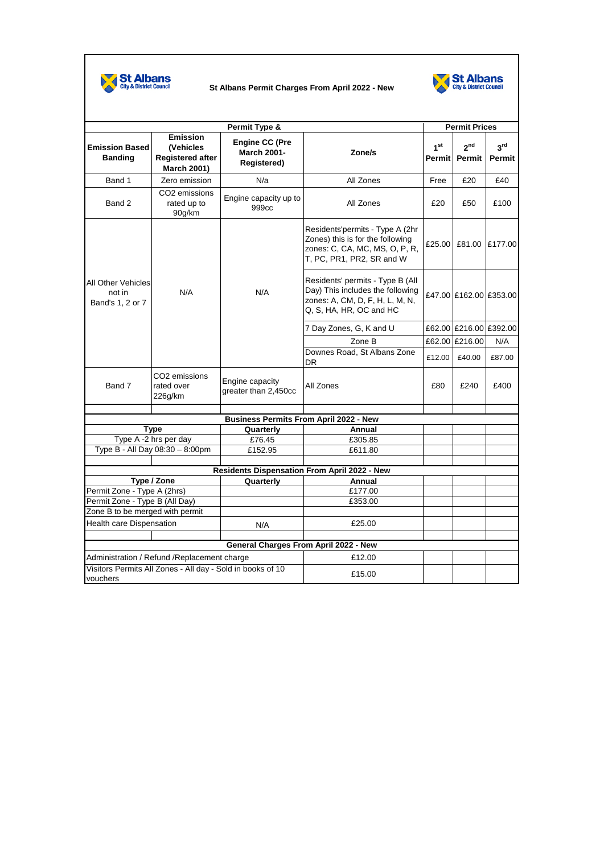

## **St Albans Permit Charges From April 2022 - New**



|                                                                        |                                                                               | Permit Type &                                              |                                                                                                                                    |                                  | <b>Permit Prices</b>      |                           |
|------------------------------------------------------------------------|-------------------------------------------------------------------------------|------------------------------------------------------------|------------------------------------------------------------------------------------------------------------------------------------|----------------------------------|---------------------------|---------------------------|
| <b>Emission Based</b><br><b>Banding</b>                                | <b>Emission</b><br>(Vehicles<br><b>Registered after</b><br><b>March 2001)</b> | <b>Engine CC (Pre</b><br><b>March 2001-</b><br>Registered) | Zone/s                                                                                                                             | 1 <sup>st</sup><br><b>Permit</b> | 2 <sup>nd</sup><br>Permit | 3 <sup>rd</sup><br>Permit |
| Band 1                                                                 | Zero emission                                                                 | N/a                                                        | All Zones                                                                                                                          | Free                             | £20                       | £40                       |
| Band 2                                                                 | CO <sub>2</sub> emissions<br>rated up to<br>90q/km                            | Engine capacity up to<br>999cc                             | All Zones                                                                                                                          | £20                              | £50                       | £100                      |
|                                                                        |                                                                               |                                                            | Residents'permits - Type A (2hr<br>Zones) this is for the following<br>zones: C, CA, MC, MS, O, P, R,<br>T, PC, PR1, PR2, SR and W | £25.00                           |                           | £81.00 £177.00            |
| <b>All Other Vehicles</b><br>not in<br>Band's 1, 2 or 7                | N/A                                                                           | N/A                                                        | Residents' permits - Type B (All<br>Day) This includes the following<br>zones: A, CM, D, F, H, L, M, N,<br>Q, S, HA, HR, OC and HC |                                  | £47.00 £162.00 £353.00    |                           |
|                                                                        |                                                                               |                                                            | 7 Day Zones, G, K and U                                                                                                            |                                  | £62.00 £216.00 £392.00    |                           |
|                                                                        |                                                                               |                                                            | Zone B                                                                                                                             |                                  | £62.00 £216.00            | N/A                       |
|                                                                        |                                                                               |                                                            | Downes Road, St Albans Zone<br>DR                                                                                                  | £12.00                           | £40.00                    | £87.00                    |
| Band 7                                                                 | CO2 emissions<br>rated over<br>226g/km                                        | Engine capacity<br>greater than 2,450cc                    | All Zones                                                                                                                          | £80                              | £240                      | £400                      |
|                                                                        |                                                                               |                                                            |                                                                                                                                    |                                  |                           |                           |
|                                                                        |                                                                               | <b>Business Permits From April 2022 - New</b>              |                                                                                                                                    |                                  |                           |                           |
|                                                                        | <b>Type</b>                                                                   | Quarterly                                                  | Annual                                                                                                                             |                                  |                           |                           |
|                                                                        | Type A -2 hrs per day                                                         | £76.45                                                     | £305.85                                                                                                                            |                                  |                           |                           |
|                                                                        | Type B - All Day 08:30 - 8:00pm                                               | £152.95                                                    | £611.80                                                                                                                            |                                  |                           |                           |
|                                                                        |                                                                               |                                                            | Residents Dispensation From April 2022 - New                                                                                       |                                  |                           |                           |
|                                                                        | Type / Zone                                                                   | Quarterly                                                  | Annual                                                                                                                             |                                  |                           |                           |
| Permit Zone - Type A (2hrs)                                            |                                                                               |                                                            | £177.00                                                                                                                            |                                  |                           |                           |
| Permit Zone - Type B (All Day)                                         |                                                                               |                                                            | £353.00                                                                                                                            |                                  |                           |                           |
| Zone B to be merged with permit                                        |                                                                               |                                                            |                                                                                                                                    |                                  |                           |                           |
| Health care Dispensation                                               |                                                                               | N/A                                                        | £25.00                                                                                                                             |                                  |                           |                           |
|                                                                        |                                                                               |                                                            |                                                                                                                                    |                                  |                           |                           |
|                                                                        |                                                                               | General Charges From April 2022 - New                      |                                                                                                                                    |                                  |                           |                           |
|                                                                        | Administration / Refund / Replacement charge<br>£12.00                        |                                                            |                                                                                                                                    |                                  |                           |                           |
| Visitors Permits All Zones - All day - Sold in books of 10<br>vouchers |                                                                               | £15.00                                                     |                                                                                                                                    |                                  |                           |                           |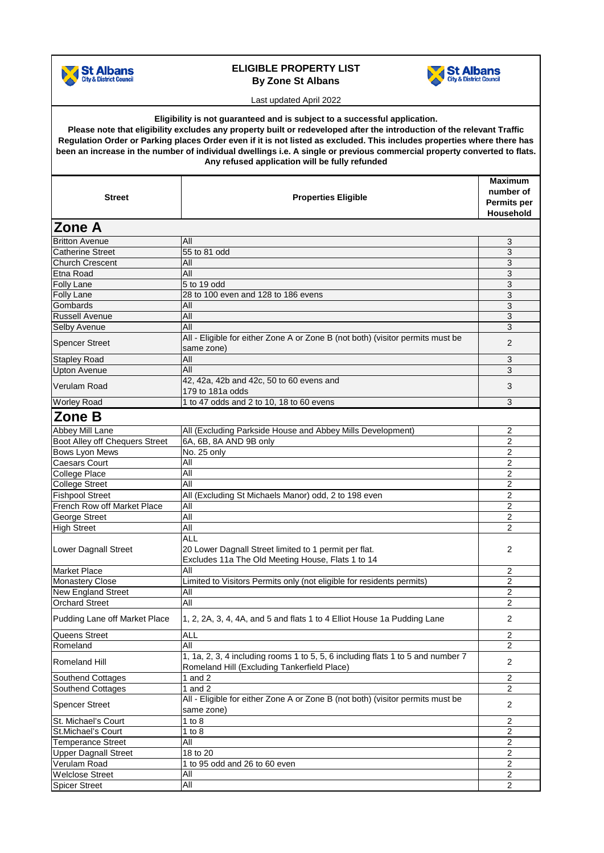

## **ELIGIBLE PROPERTY LIST By Zone St Albans**



Last updated April 2022

## **Eligibility is not guaranteed and is subject to a successful application.**

**Please note that eligibility excludes any property built or redeveloped after the introduction of the relevant Traffic Regulation Order or Parking places Order even if it is not listed as excluded. This includes properties where there has been an increase in the number of individual dwellings i.e. A single or previous commercial property converted to flats. Any refused application will be fully refunded**

|                                       |                                                                                                                                | <b>Maximum</b><br>number of     |
|---------------------------------------|--------------------------------------------------------------------------------------------------------------------------------|---------------------------------|
| Street                                | <b>Properties Eligible</b>                                                                                                     | <b>Permits per</b><br>Household |
| Zone A                                |                                                                                                                                |                                 |
| <b>Britton Avenue</b>                 | All                                                                                                                            | 3                               |
| <b>Catherine Street</b>               | 55 to 81 odd                                                                                                                   | 3                               |
| <b>Church Crescent</b>                | All                                                                                                                            | 3                               |
| Etna Road                             | All                                                                                                                            | 3                               |
| <b>Folly Lane</b>                     | 5 to 19 odd                                                                                                                    | 3                               |
| Folly Lane                            | 28 to 100 even and 128 to 186 evens                                                                                            | 3                               |
| Gombards                              | All                                                                                                                            | 3                               |
| <b>Russell Avenue</b>                 | All                                                                                                                            | 3                               |
| Selby Avenue                          | All                                                                                                                            | 3                               |
| <b>Spencer Street</b>                 | All - Eligible for either Zone A or Zone B (not both) (visitor permits must be<br>same zone)                                   | 2                               |
| <b>Stapley Road</b>                   | All                                                                                                                            | 3                               |
| <b>Upton Avenue</b>                   | All                                                                                                                            | 3                               |
|                                       | 42, 42a, 42b and 42c, 50 to 60 evens and                                                                                       |                                 |
| Verulam Road                          | 179 to 181a odds                                                                                                               | 3                               |
| <b>Worley Road</b>                    | 1 to 47 odds and 2 to 10, 18 to 60 evens                                                                                       | 3                               |
| Zone B                                |                                                                                                                                |                                 |
| Abbey Mill Lane                       | All (Excluding Parkside House and Abbey Mills Development)                                                                     | 2                               |
| <b>Boot Alley off Chequers Street</b> | 6A, 6B, 8A AND 9B only                                                                                                         | $\overline{2}$                  |
| Bows Lyon Mews                        | No. 25 only                                                                                                                    | $\overline{2}$                  |
| <b>Caesars Court</b>                  | All                                                                                                                            | $\overline{2}$                  |
| College Place                         | All                                                                                                                            | $\overline{2}$                  |
| <b>College Street</b>                 | All                                                                                                                            | $\overline{2}$                  |
| <b>Fishpool Street</b>                | All (Excluding St Michaels Manor) odd, 2 to 198 even                                                                           | $\overline{c}$                  |
| French Row off Market Place           | All                                                                                                                            | $\overline{2}$                  |
| George Street                         | All                                                                                                                            | $\overline{2}$                  |
| <b>High Street</b>                    | All                                                                                                                            | $\overline{2}$                  |
| Lower Dagnall Street                  | <b>ALL</b><br>20 Lower Dagnall Street limited to 1 permit per flat.<br>Excludes 11a The Old Meeting House, Flats 1 to 14       | 2                               |
| <b>Market Place</b>                   | All                                                                                                                            | $\overline{2}$                  |
| <b>Monastery Close</b>                | Limited to Visitors Permits only (not eligible for residents permits)                                                          | $\overline{2}$                  |
| <b>New England Street</b>             | All                                                                                                                            | 2                               |
| <b>Orchard Street</b>                 | All                                                                                                                            | $\overline{2}$                  |
| Pudding Lane off Market Place         | 1, 2, 2A, 3, 4, 4A, and 5 and flats 1 to 4 Elliot House 1a Pudding Lane                                                        | $\overline{2}$                  |
| Queens Street                         | <b>ALL</b>                                                                                                                     | $\overline{2}$                  |
| Romeland                              | All                                                                                                                            | $\overline{2}$                  |
| <b>Romeland Hill</b>                  | 1, 1a, 2, 3, 4 including rooms 1 to 5, 5, 6 including flats 1 to 5 and number 7<br>Romeland Hill (Excluding Tankerfield Place) | $\mathbf{2}$                    |
| Southend Cottages                     | 1 and $2$                                                                                                                      | $\mathbf 2$                     |
| Southend Cottages                     | 1 and $2$                                                                                                                      | $\overline{2}$                  |
| <b>Spencer Street</b>                 | All - Eligible for either Zone A or Zone B (not both) (visitor permits must be<br>same zone)                                   | $\overline{2}$                  |
| St. Michael's Court                   | $1$ to $8$                                                                                                                     | 2                               |
| St.Michael's Court                    | $\overline{1}$ to 8                                                                                                            | $\overline{c}$                  |
| <b>Temperance Street</b>              | All                                                                                                                            | $\overline{c}$                  |
| <b>Upper Dagnall Street</b>           | 18 to 20                                                                                                                       | $\overline{2}$                  |
| Verulam Road                          | 1 to 95 odd and 26 to 60 even                                                                                                  | $\overline{2}$                  |
| <b>Welclose Street</b>                | All                                                                                                                            | 2                               |
| <b>Spicer Street</b>                  | All                                                                                                                            | $\overline{2}$                  |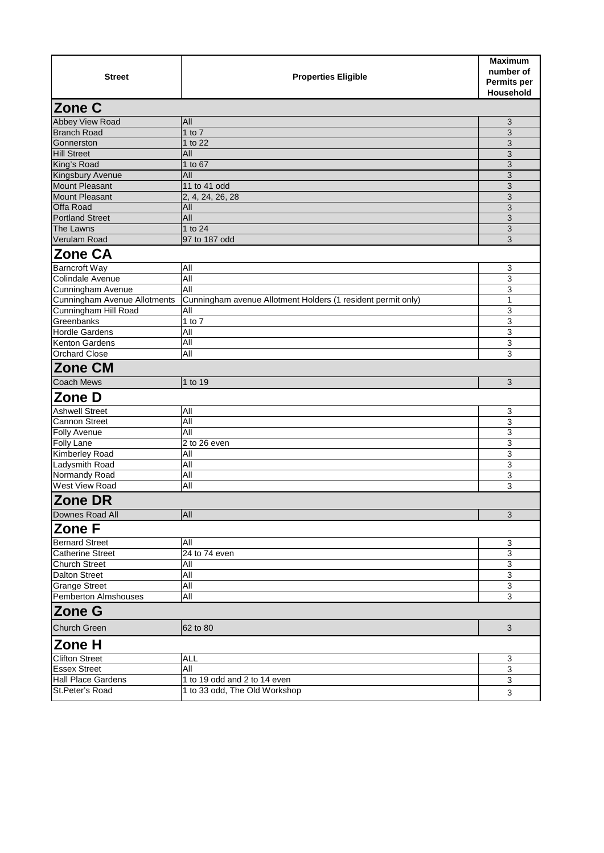|                                            |                                                              | <b>Maximum</b><br>number of      |
|--------------------------------------------|--------------------------------------------------------------|----------------------------------|
| <b>Street</b>                              | <b>Properties Eligible</b>                                   | Permits per                      |
|                                            |                                                              | Household                        |
| Zone C                                     |                                                              |                                  |
| Abbey View Road                            | All                                                          | 3                                |
| <b>Branch Road</b>                         | 1 to $7$                                                     | 3                                |
| Gonnerston                                 | 1 to 22                                                      | 3                                |
| <b>Hill Street</b>                         | All                                                          | 3                                |
| King's Road                                | 1 to 67                                                      | 3                                |
| Kingsbury Avenue                           | All                                                          | 3                                |
| <b>Mount Pleasant</b>                      | 11 to 41 odd                                                 | 3                                |
| <b>Mount Pleasant</b>                      | 2, 4, 24, 26, 28                                             | 3                                |
| <b>Offa Road</b><br><b>Portland Street</b> | All<br>All                                                   | $\overline{3}$<br>$\overline{3}$ |
| The Lawns                                  | 1 to 24                                                      | 3                                |
| Verulam Road                               | 97 to 187 odd                                                | 3                                |
| <b>Zone CA</b>                             |                                                              |                                  |
| <b>Barncroft Way</b>                       | All                                                          | 3                                |
| Colindale Avenue                           | <b>All</b>                                                   | 3                                |
| Cunningham Avenue                          | All                                                          | 3                                |
| Cunningham Avenue Allotments               | Cunningham avenue Allotment Holders (1 resident permit only) | 1                                |
| Cunningham Hill Road                       | All                                                          | 3                                |
| Greenbanks                                 | 1 to $7$                                                     | 3                                |
| <b>Hordle Gardens</b>                      | All                                                          | 3                                |
| Kenton Gardens                             | All                                                          | 3                                |
| <b>Orchard Close</b>                       | All                                                          | 3                                |
| <b>Zone CM</b>                             |                                                              |                                  |
| <b>Coach Mews</b>                          | 1 to 19                                                      | 3                                |
| Zone D                                     |                                                              |                                  |
| <b>Ashwell Street</b>                      | All                                                          | 3                                |
| <b>Cannon Street</b>                       | All                                                          | 3                                |
| <b>Folly Avenue</b>                        | All                                                          | 3                                |
| <b>Folly Lane</b>                          | 2 to 26 even                                                 | 3                                |
| <b>Kimberley Road</b>                      | All                                                          | 3                                |
| Ladysmith Road                             | All                                                          | 3                                |
| Normandy Road                              | <b>All</b>                                                   | 3                                |
| <b>West View Road</b>                      | All                                                          | 3                                |
| <b>Zone DR</b>                             |                                                              |                                  |
| Downes Road All                            | All                                                          | 3                                |
| Zone F                                     |                                                              |                                  |
| <b>Bernard Street</b>                      | All                                                          | 3                                |
| <b>Catherine Street</b>                    | 24 to 74 even                                                | 3                                |
| <b>Church Street</b>                       | All                                                          | 3                                |
| Dalton Street<br><b>Grange Street</b>      | All                                                          | $\overline{3}$                   |
| Pemberton Almshouses                       | All<br>All                                                   | 3<br>3                           |
|                                            |                                                              |                                  |
| <b>Zone G</b>                              |                                                              |                                  |
| <b>Church Green</b>                        | 62 to 80                                                     | 3                                |
| Zone H                                     |                                                              |                                  |
| <b>Clifton Street</b>                      | <b>ALL</b>                                                   | 3                                |
| <b>Essex Street</b>                        | All                                                          | 3                                |
| <b>Hall Place Gardens</b>                  | 1 to 19 odd and 2 to 14 even                                 | 3                                |
| St.Peter's Road                            | 1 to 33 odd, The Old Workshop                                | 3                                |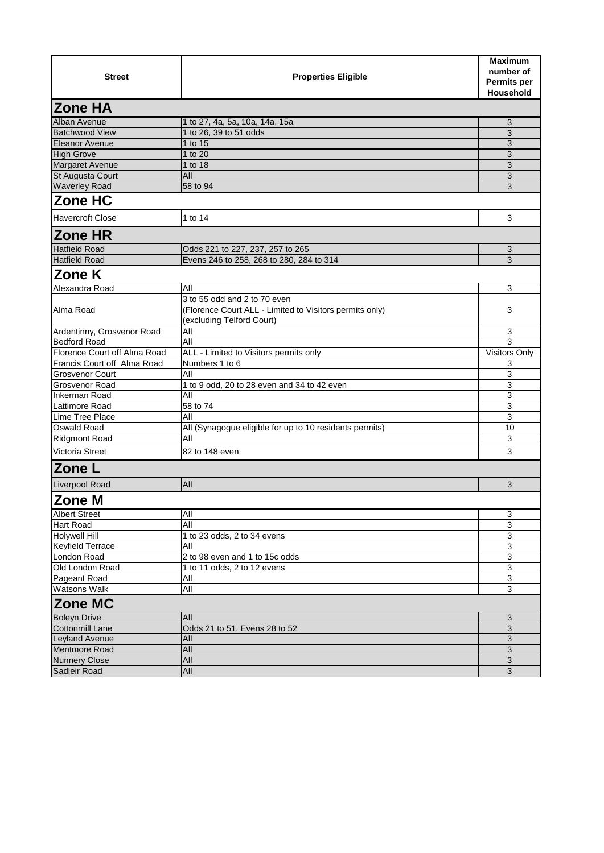|                              |                                                         | <b>Maximum</b>            |  |  |
|------------------------------|---------------------------------------------------------|---------------------------|--|--|
| <b>Street</b>                | <b>Properties Eligible</b>                              | number of                 |  |  |
|                              |                                                         | Permits per               |  |  |
|                              |                                                         | <b>Household</b>          |  |  |
| <b>Zone HA</b>               |                                                         |                           |  |  |
| <b>Alban Avenue</b>          | 1 to 27, 4a, 5a, 10a, 14a, 15a                          | 3                         |  |  |
| <b>Batchwood View</b>        | 1 to 26, 39 to 51 odds                                  | 3                         |  |  |
| Eleanor Avenue               | 1 to 15                                                 | 3                         |  |  |
| <b>High Grove</b>            | 1 to 20                                                 | $\mathbf{3}$              |  |  |
| Margaret Avenue              | 1 to 18                                                 | 3                         |  |  |
| St Augusta Court             | All                                                     | 3                         |  |  |
| <b>Waverley Road</b>         | 58 to 94                                                | 3                         |  |  |
| Zone HC                      |                                                         |                           |  |  |
| <b>Havercroft Close</b>      | 1 to 14                                                 | 3                         |  |  |
| <b>Zone HR</b>               |                                                         |                           |  |  |
| <b>Hatfield Road</b>         | Odds 221 to 227, 237, 257 to 265                        | 3                         |  |  |
| <b>Hatfield Road</b>         | Evens 246 to 258, 268 to 280, 284 to 314                | 3                         |  |  |
| Zone K                       |                                                         |                           |  |  |
| Alexandra Road               | All                                                     | 3                         |  |  |
|                              | 3 to 55 odd and 2 to 70 even                            |                           |  |  |
| Alma Road                    | (Florence Court ALL - Limited to Visitors permits only) | 3                         |  |  |
|                              | (excluding Telford Court)                               |                           |  |  |
| Ardentinny, Grosvenor Road   | All                                                     | 3                         |  |  |
| <b>Bedford Road</b>          | All                                                     | 3                         |  |  |
| Florence Court off Alma Road | ALL - Limited to Visitors permits only                  | Visitors Only             |  |  |
| Francis Court off Alma Road  | Numbers 1 to 6                                          | 3                         |  |  |
| Grosvenor Court              | All                                                     | 3                         |  |  |
| <b>Grosvenor Road</b>        | 1 to 9 odd, 20 to 28 even and 34 to 42 even             | 3                         |  |  |
| <b>Inkerman Road</b>         | All                                                     | 3                         |  |  |
| Lattimore Road               | 58 to 74                                                | 3                         |  |  |
| Lime Tree Place              | All                                                     | 3                         |  |  |
| Oswald Road                  | All (Synagogue eligible for up to 10 residents permits) | 10                        |  |  |
| <b>Ridgmont Road</b>         | All                                                     | 3                         |  |  |
| Victoria Street              | 82 to 148 even                                          | 3                         |  |  |
| <b>Zone L</b>                |                                                         |                           |  |  |
| Liverpool Road               | All                                                     | 3                         |  |  |
| <b>Zone M</b>                |                                                         |                           |  |  |
| <b>Albert Street</b>         | All                                                     | $\overline{3}$            |  |  |
| <b>Hart Road</b>             | All                                                     | $\overline{3}$            |  |  |
| <b>Holywell Hill</b>         | 1 to 23 odds, 2 to 34 evens                             | 3                         |  |  |
| Keyfield Terrace             | All                                                     | 3                         |  |  |
| London Road                  | 2 to 98 even and 1 to 15c odds                          | $\overline{3}$            |  |  |
| Old London Road              | 1 to 11 odds, 2 to 12 evens                             | $\overline{3}$            |  |  |
| Pageant Road                 | All                                                     | $\overline{3}$            |  |  |
| Watsons Walk                 | All                                                     | 3                         |  |  |
| <b>Zone MC</b>               |                                                         |                           |  |  |
| <b>Boleyn Drive</b>          | All                                                     | 3                         |  |  |
| <b>Cottonmill Lane</b>       | Odds 21 to 51, Evens 28 to 52                           | $\ensuremath{\mathsf{3}}$ |  |  |
| <b>Leyland Avenue</b>        | All                                                     | $\overline{3}$            |  |  |
| Mentmore Road                | All                                                     | $\overline{3}$            |  |  |
| <b>Nunnery Close</b>         | All                                                     | $\overline{3}$            |  |  |
| Sadleir Road                 | All                                                     | $\overline{3}$            |  |  |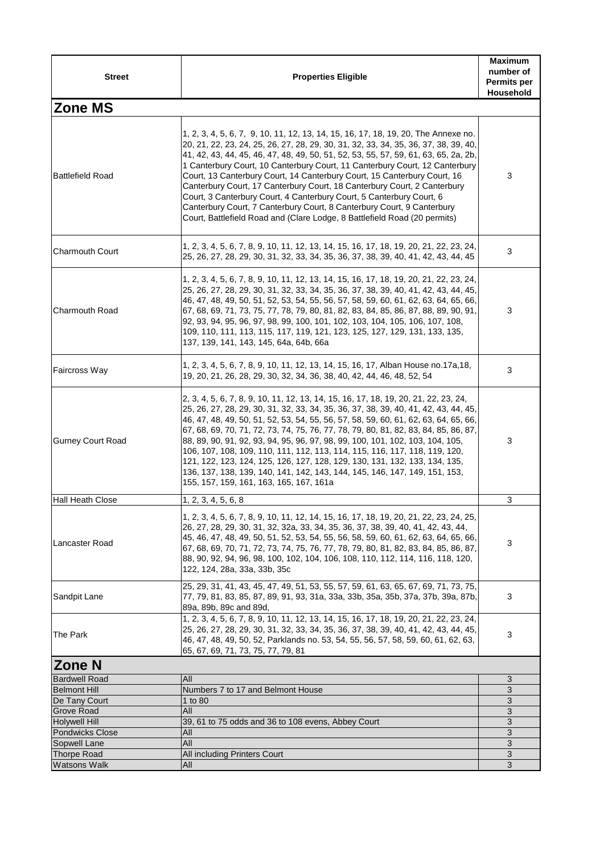| <b>Street</b>                        | <b>Properties Eligible</b>                                                                                                                                                                                                                                                                                                                                                                                                                                                                                                                                                                                                                                                                                                             | <b>Maximum</b><br>number of<br><b>Permits per</b><br>Household |
|--------------------------------------|----------------------------------------------------------------------------------------------------------------------------------------------------------------------------------------------------------------------------------------------------------------------------------------------------------------------------------------------------------------------------------------------------------------------------------------------------------------------------------------------------------------------------------------------------------------------------------------------------------------------------------------------------------------------------------------------------------------------------------------|----------------------------------------------------------------|
| <b>Zone MS</b>                       |                                                                                                                                                                                                                                                                                                                                                                                                                                                                                                                                                                                                                                                                                                                                        |                                                                |
| <b>Battlefield Road</b>              | 1, 2, 3, 4, 5, 6, 7, 9, 10, 11, 12, 13, 14, 15, 16, 17, 18, 19, 20, The Annexe no.<br>20, 21, 22, 23, 24, 25, 26, 27, 28, 29, 30, 31, 32, 33, 34, 35, 36, 37, 38, 39, 40,<br>41, 42, 43, 44, 45, 46, 47, 48, 49, 50, 51, 52, 53, 55, 57, 59, 61, 63, 65, 2a, 2b,<br>1 Canterbury Court, 10 Canterbury Court, 11 Canterbury Court, 12 Canterbury<br>Court, 13 Canterbury Court, 14 Canterbury Court, 15 Canterbury Court, 16<br>Canterbury Court, 17 Canterbury Court, 18 Canterbury Court, 2 Canterbury<br>Court, 3 Canterbury Court, 4 Canterbury Court, 5 Canterbury Court, 6<br>Canterbury Court, 7 Canterbury Court, 8 Canterbury Court, 9 Canterbury<br>Court, Battlefield Road and (Clare Lodge, 8 Battlefield Road (20 permits) | 3                                                              |
| <b>Charmouth Court</b>               | 1, 2, 3, 4, 5, 6, 7, 8, 9, 10, 11, 12, 13, 14, 15, 16, 17, 18, 19, 20, 21, 22, 23, 24,<br>25, 26, 27, 28, 29, 30, 31, 32, 33, 34, 35, 36, 37, 38, 39, 40, 41, 42, 43, 44, 45                                                                                                                                                                                                                                                                                                                                                                                                                                                                                                                                                           | 3                                                              |
| <b>Charmouth Road</b>                | 1, 2, 3, 4, 5, 6, 7, 8, 9, 10, 11, 12, 13, 14, 15, 16, 17, 18, 19, 20, 21, 22, 23, 24,<br>25, 26, 27, 28, 29, 30, 31, 32, 33, 34, 35, 36, 37, 38, 39, 40, 41, 42, 43, 44, 45,<br>46, 47, 48, 49, 50, 51, 52, 53, 54, 55, 56, 57, 58, 59, 60, 61, 62, 63, 64, 65, 66,<br>67, 68, 69, 71, 73, 75, 77, 78, 79, 80, 81, 82, 83, 84, 85, 86, 87, 88, 89, 90, 91,<br>92, 93, 94, 95, 96, 97, 98, 99, 100, 101, 102, 103, 104, 105, 106, 107, 108,<br>109, 110, 111, 113, 115, 117, 119, 121, 123, 125, 127, 129, 131, 133, 135,<br>137, 139, 141, 143, 145, 64a, 64b, 66a                                                                                                                                                                    | 3                                                              |
| Faircross Way                        | 1, 2, 3, 4, 5, 6, 7, 8, 9, 10, 11, 12, 13, 14, 15, 16, 17, Alban House no.17a, 18,<br>19, 20, 21, 26, 28, 29, 30, 32, 34, 36, 38, 40, 42, 44, 46, 48, 52, 54                                                                                                                                                                                                                                                                                                                                                                                                                                                                                                                                                                           | 3                                                              |
| <b>Gurney Court Road</b>             | 2, 3, 4, 5, 6, 7, 8, 9, 10, 11, 12, 13, 14, 15, 16, 17, 18, 19, 20, 21, 22, 23, 24,<br>25, 26, 27, 28, 29, 30, 31, 32, 33, 34, 35, 36, 37, 38, 39, 40, 41, 42, 43, 44, 45,<br>46, 47, 48, 49, 50, 51, 52, 53, 54, 55, 56, 57, 58, 59, 60, 61, 62, 63, 64, 65, 66,<br> 67, 68, 69, 70, 71, 72, 73, 74, 75, 76, 77, 78, 79, 80, 81, 82, 83, 84, 85, 86, 87,<br>88, 89, 90, 91, 92, 93, 94, 95, 96, 97, 98, 99, 100, 101, 102, 103, 104, 105,<br>106, 107, 108, 109, 110, 111, 112, 113, 114, 115, 116, 117, 118, 119, 120,<br>121, 122, 123, 124, 125, 126, 127, 128, 129, 130, 131, 132, 133, 134, 135,<br>136, 137, 138, 139, 140, 141, 142, 143, 144, 145, 146, 147, 149, 151, 153,<br>155, 157, 159, 161, 163, 165, 167, 161a        | 3                                                              |
| <b>Hall Heath Close</b>              | 1, 2, 3, 4, 5, 6, 8                                                                                                                                                                                                                                                                                                                                                                                                                                                                                                                                                                                                                                                                                                                    | 3                                                              |
| Lancaster Road                       | 1, 2, 3, 4, 5, 6, 7, 8, 9, 10, 11, 12, 14, 15, 16, 17, 18, 19, 20, 21, 22, 23, 24, 25,<br>26, 27, 28, 29, 30, 31, 32, 32a, 33, 34, 35, 36, 37, 38, 39, 40, 41, 42, 43, 44,<br>45, 46, 47, 48, 49, 50, 51, 52, 53, 54, 55, 56, 58, 59, 60, 61, 62, 63, 64, 65, 66,<br>67, 68, 69, 70, 71, 72, 73, 74, 75, 76, 77, 78, 79, 80, 81, 82, 83, 84, 85, 86, 87,<br>88, 90, 92, 94, 96, 98, 100, 102, 104, 106, 108, 110, 112, 114, 116, 118, 120,<br>122, 124, 28a, 33a, 33b, 35c                                                                                                                                                                                                                                                             | 3                                                              |
| Sandpit Lane                         | 25, 29, 31, 41, 43, 45, 47, 49, 51, 53, 55, 57, 59, 61, 63, 65, 67, 69, 71, 73, 75,<br>77, 79, 81, 83, 85, 87, 89, 91, 93, 31a, 33a, 33b, 35a, 35b, 37a, 37b, 39a, 87b,<br>89a, 89b, 89c and 89d,                                                                                                                                                                                                                                                                                                                                                                                                                                                                                                                                      | 3                                                              |
| The Park                             | 1, 2, 3, 4, 5, 6, 7, 8, 9, 10, 11, 12, 13, 14, 15, 16, 17, 18, 19, 20, 21, 22, 23, 24,<br> 25, 26, 27, 28, 29, 30, 31, 32, 33, 34, 35, 36, 37, 38, 39, 40, 41, 42, 43, 44, 45,<br>46, 47, 48, 49, 50, 52, Parklands no. 53, 54, 55, 56, 57, 58, 59, 60, 61, 62, 63,<br>65, 67, 69, 71, 73, 75, 77, 79, 81                                                                                                                                                                                                                                                                                                                                                                                                                              | 3                                                              |
| Zone N                               |                                                                                                                                                                                                                                                                                                                                                                                                                                                                                                                                                                                                                                                                                                                                        |                                                                |
| <b>Bardwell Road</b>                 | All                                                                                                                                                                                                                                                                                                                                                                                                                                                                                                                                                                                                                                                                                                                                    | 3                                                              |
| <b>Belmont Hill</b><br>De Tany Court | Numbers 7 to 17 and Belmont House<br>1 to 80                                                                                                                                                                                                                                                                                                                                                                                                                                                                                                                                                                                                                                                                                           | 3<br>3                                                         |
| <b>Grove Road</b>                    | All                                                                                                                                                                                                                                                                                                                                                                                                                                                                                                                                                                                                                                                                                                                                    | 3                                                              |
| <b>Holywell Hill</b>                 | 39, 61 to 75 odds and 36 to 108 evens, Abbey Court                                                                                                                                                                                                                                                                                                                                                                                                                                                                                                                                                                                                                                                                                     | 3                                                              |
| <b>Pondwicks Close</b>               | All                                                                                                                                                                                                                                                                                                                                                                                                                                                                                                                                                                                                                                                                                                                                    | 3                                                              |
| Sopwell Lane<br><b>Thorpe Road</b>   | All<br>All including Printers Court                                                                                                                                                                                                                                                                                                                                                                                                                                                                                                                                                                                                                                                                                                    | 3<br>3                                                         |
| <b>Watsons Walk</b>                  | All                                                                                                                                                                                                                                                                                                                                                                                                                                                                                                                                                                                                                                                                                                                                    | 3                                                              |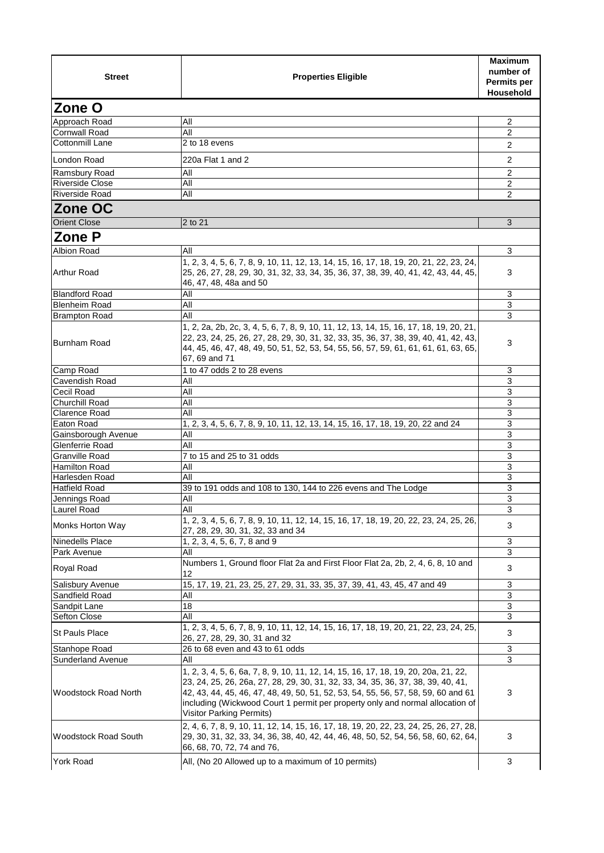| <b>Street</b>                | <b>Properties Eligible</b>                                                                                                                                                                                                                                                                                                                                                | <b>Maximum</b><br>number of<br><b>Permits per</b><br>Household |
|------------------------------|---------------------------------------------------------------------------------------------------------------------------------------------------------------------------------------------------------------------------------------------------------------------------------------------------------------------------------------------------------------------------|----------------------------------------------------------------|
| <b>Zone O</b>                |                                                                                                                                                                                                                                                                                                                                                                           |                                                                |
| Approach Road                | All                                                                                                                                                                                                                                                                                                                                                                       | 2                                                              |
| <b>Cornwall Road</b>         | All                                                                                                                                                                                                                                                                                                                                                                       | $\overline{2}$                                                 |
| Cottonmill Lane              | 2 to 18 evens                                                                                                                                                                                                                                                                                                                                                             | 2                                                              |
| London Road                  | 220a Flat 1 and 2                                                                                                                                                                                                                                                                                                                                                         | 2                                                              |
| Ramsbury Road                | All                                                                                                                                                                                                                                                                                                                                                                       | 2                                                              |
| <b>Riverside Close</b>       | All                                                                                                                                                                                                                                                                                                                                                                       | 2                                                              |
| <b>Riverside Road</b>        | All                                                                                                                                                                                                                                                                                                                                                                       | $\overline{2}$                                                 |
| <b>IZone OC</b>              |                                                                                                                                                                                                                                                                                                                                                                           |                                                                |
| <b>Orient Close</b>          | 2 to 21                                                                                                                                                                                                                                                                                                                                                                   | 3                                                              |
| Zone P                       |                                                                                                                                                                                                                                                                                                                                                                           |                                                                |
| <b>Albion Road</b>           | All                                                                                                                                                                                                                                                                                                                                                                       | 3                                                              |
|                              | 1, 2, 3, 4, 5, 6, 7, 8, 9, 10, 11, 12, 13, 14, 15, 16, 17, 18, 19, 20, 21, 22, 23, 24,                                                                                                                                                                                                                                                                                    |                                                                |
| <b>Arthur Road</b>           | 25, 26, 27, 28, 29, 30, 31, 32, 33, 34, 35, 36, 37, 38, 39, 40, 41, 42, 43, 44, 45,<br>46, 47, 48, 48a and 50                                                                                                                                                                                                                                                             | 3                                                              |
| <b>Blandford Road</b>        | All                                                                                                                                                                                                                                                                                                                                                                       | 3                                                              |
| <b>Blenheim Road</b>         | All                                                                                                                                                                                                                                                                                                                                                                       | 3                                                              |
| <b>Brampton Road</b>         | All                                                                                                                                                                                                                                                                                                                                                                       | 3                                                              |
| <b>Burnham Road</b>          | 1, 2, 2a, 2b, 2c, 3, 4, 5, 6, 7, 8, 9, 10, 11, 12, 13, 14, 15, 16, 17, 18, 19, 20, 21,<br>22, 23, 24, 25, 26, 27, 28, 29, 30, 31, 32, 33, 35, 36, 37, 38, 39, 40, 41, 42, 43,<br>44, 45, 46, 47, 48, 49, 50, 51, 52, 53, 54, 55, 56, 57, 59, 61, 61, 61, 63, 65,<br>67, 69 and 71                                                                                         | 3                                                              |
| Camp Road                    | 1 to 47 odds 2 to 28 evens                                                                                                                                                                                                                                                                                                                                                | 3                                                              |
| Cavendish Road               | All                                                                                                                                                                                                                                                                                                                                                                       | 3                                                              |
| <b>Cecil Road</b>            | All                                                                                                                                                                                                                                                                                                                                                                       | 3                                                              |
| <b>Churchill Road</b>        | All                                                                                                                                                                                                                                                                                                                                                                       | 3                                                              |
| <b>Clarence Road</b>         | All                                                                                                                                                                                                                                                                                                                                                                       | $\overline{3}$                                                 |
| Eaton Road                   | 1, 2, 3, 4, 5, 6, 7, 8, 9, 10, 11, 12, 13, 14, 15, 16, 17, 18, 19, 20, 22 and 24                                                                                                                                                                                                                                                                                          | 3                                                              |
| Gainsborough Avenue          | All                                                                                                                                                                                                                                                                                                                                                                       | 3                                                              |
| Glenferrie Road              | ΑIΙ                                                                                                                                                                                                                                                                                                                                                                       | 3                                                              |
| <b>Granville Road</b>        | 7 to 15 and 25 to 31 odds                                                                                                                                                                                                                                                                                                                                                 | 3                                                              |
| Hamilton Road                | All                                                                                                                                                                                                                                                                                                                                                                       | 3                                                              |
| Harlesden Road               | All                                                                                                                                                                                                                                                                                                                                                                       | 3                                                              |
| <b>Hatfield Road</b>         | 39 to 191 odds and 108 to 130, 144 to 226 evens and The Lodge                                                                                                                                                                                                                                                                                                             | 3                                                              |
| Jennings Road<br>Laurel Road | All<br>All                                                                                                                                                                                                                                                                                                                                                                | 3<br>$\overline{3}$                                            |
| Monks Horton Way             | 1, 2, 3, 4, 5, 6, 7, 8, 9, 10, 11, 12, 14, 15, 16, 17, 18, 19, 20, 22, 23, 24, 25, 26,<br>27, 28, 29, 30, 31, 32, 33 and 34                                                                                                                                                                                                                                               | 3                                                              |
| Ninedells Place              | 1, 2, 3, 4, 5, 6, 7, 8 and 9                                                                                                                                                                                                                                                                                                                                              | 3                                                              |
| Park Avenue                  | All                                                                                                                                                                                                                                                                                                                                                                       | 3                                                              |
| Royal Road                   | Numbers 1, Ground floor Flat 2a and First Floor Flat 2a, 2b, 2, 4, 6, 8, 10 and<br>12                                                                                                                                                                                                                                                                                     | 3                                                              |
| <b>Salisbury Avenue</b>      | 15, 17, 19, 21, 23, 25, 27, 29, 31, 33, 35, 37, 39, 41, 43, 45, 47 and 49                                                                                                                                                                                                                                                                                                 | 3                                                              |
| Sandfield Road               | All                                                                                                                                                                                                                                                                                                                                                                       | $\overline{3}$                                                 |
| Sandpit Lane                 | 18                                                                                                                                                                                                                                                                                                                                                                        | 3                                                              |
| Sefton Close                 | All                                                                                                                                                                                                                                                                                                                                                                       | $\ensuremath{\mathsf{3}}$                                      |
| <b>St Pauls Place</b>        | 1, 2, 3, 4, 5, 6, 7, 8, 9, 10, 11, 12, 14, 15, 16, 17, 18, 19, 20, 21, 22, 23, 24, 25,<br>26, 27, 28, 29, 30, 31 and 32                                                                                                                                                                                                                                                   | 3                                                              |
| Stanhope Road                | 26 to 68 even and 43 to 61 odds                                                                                                                                                                                                                                                                                                                                           | 3                                                              |
| Sunderland Avenue            | All                                                                                                                                                                                                                                                                                                                                                                       | 3                                                              |
| <b>Woodstock Road North</b>  | 1, 2, 3, 4, 5, 6, 6a, 7, 8, 9, 10, 11, 12, 14, 15, 16, 17, 18, 19, 20, 20a, 21, 22,<br>23, 24, 25, 26, 26a, 27, 28, 29, 30, 31, 32, 33, 34, 35, 36, 37, 38, 39, 40, 41,<br>42, 43, 44, 45, 46, 47, 48, 49, 50, 51, 52, 53, 54, 55, 56, 57, 58, 59, 60 and 61<br>including (Wickwood Court 1 permit per property only and normal allocation of<br>Visitor Parking Permits) | 3                                                              |
| <b>Woodstock Road South</b>  | 2, 4, 6, 7, 8, 9, 10, 11, 12, 14, 15, 16, 17, 18, 19, 20, 22, 23, 24, 25, 26, 27, 28,<br>29, 30, 31, 32, 33, 34, 36, 38, 40, 42, 44, 46, 48, 50, 52, 54, 56, 58, 60, 62, 64,<br>66, 68, 70, 72, 74 and 76,                                                                                                                                                                | 3                                                              |
| <b>York Road</b>             | All, (No 20 Allowed up to a maximum of 10 permits)                                                                                                                                                                                                                                                                                                                        | 3                                                              |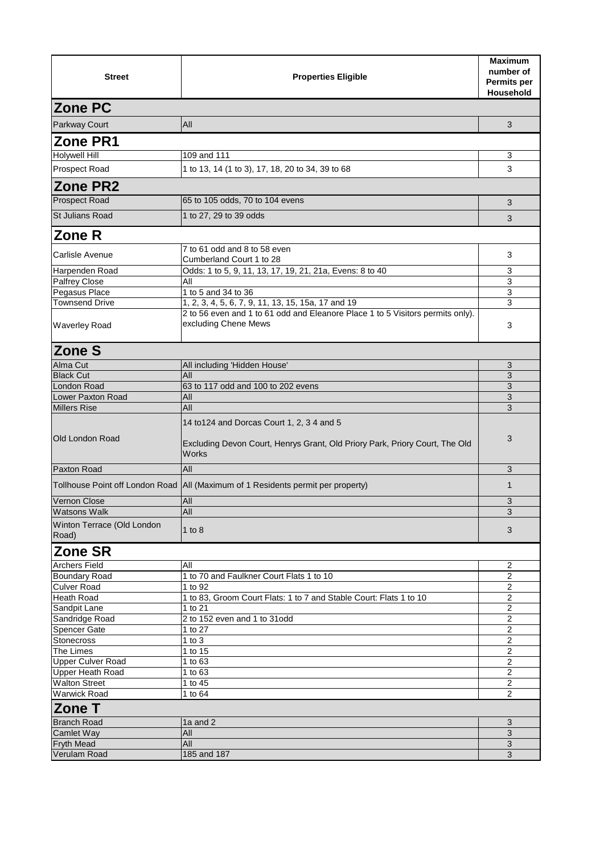| <b>Zone PC</b><br>All<br>Parkway Court<br>3<br><b>Zone PR1</b><br><b>Holywell Hill</b><br>109 and 111<br>3<br>Prospect Road<br>3<br>1 to 13, 14 (1 to 3), 17, 18, 20 to 34, 39 to 68<br><b>Zone PR2</b><br><b>Prospect Road</b><br>65 to 105 odds, 70 to 104 evens<br>3<br>St Julians Road<br>1 to 27, 29 to 39 odds<br>3<br>Zone R<br>7 to 61 odd and 8 to 58 even<br>3<br>Carlisle Avenue<br>Cumberland Court 1 to 28<br>Harpenden Road<br>Odds: 1 to 5, 9, 11, 13, 17, 19, 21, 21a, Evens: 8 to 40<br>3<br>3<br>Palfrey Close<br>All<br>3<br>Pegasus Place<br>1 to 5 and 34 to 36<br>3<br><b>Townsend Drive</b><br>1, 2, 3, 4, 5, 6, 7, 9, 11, 13, 15, 15a, 17 and 19<br>2 to 56 even and 1 to 61 odd and Eleanore Place 1 to 5 Visitors permits only).<br>excluding Chene Mews<br><b>Waverley Road</b><br>3<br>Zone S<br>Alma Cut<br>All including 'Hidden House'<br>3<br>All<br>3<br><b>Black Cut</b><br>63 to 117 odd and 100 to 202 evens<br>3<br>London Road<br>3<br>Lower Paxton Road<br>All<br>3<br><b>Millers Rise</b><br>All<br>14 to 124 and Dorcas Court 1, 2, 3 4 and 5<br>Old London Road<br>3<br>Excluding Devon Court, Henrys Grant, Old Priory Park, Priory Court, The Old<br>Works<br>Paxton Road<br>All<br>3<br>$\mathbf{1}$<br>Tollhouse Point off London Road   All (Maximum of 1 Residents permit per property)<br><b>Vernon Close</b><br>All<br>3<br><b>Watsons Walk</b><br>All<br>3<br>Winton Terrace (Old London<br>$1$ to $8$<br>3<br>Road)<br><b>Zone SR</b><br>All<br><b>Archers Field</b><br>$\sqrt{2}$<br>2<br>Boundary Road<br>1 to 70 and Faulkner Court Flats 1 to 10<br><b>Culver Road</b><br>$\overline{c}$<br>1 to 92<br>1 to 83, Groom Court Flats: 1 to 7 and Stable Court: Flats 1 to 10<br><b>Heath Road</b><br>$\overline{2}$<br>$\overline{c}$<br>Sandpit Lane<br>1 to 21<br>$\overline{2}$<br>2 to 152 even and 1 to 31odd<br>Sandridge Road<br>$\overline{2}$<br><b>Spencer Gate</b><br>1 to 27<br>$\boldsymbol{2}$<br><b>Stonecross</b><br>1 to $3$<br>The Limes<br>2<br>1 to 15<br><b>Upper Culver Road</b><br>1 to 63<br>2<br>1 to 63<br>2<br>Upper Heath Road<br><b>Walton Street</b><br>$\boldsymbol{2}$<br>1 to 45<br>Warwick Road<br>1 to 64<br>$\overline{2}$<br>Zone T<br><b>Branch Road</b><br>1a and 2<br>$\mathfrak{S}$<br>3<br>All<br>Camlet Way<br>$\overline{3}$<br>All<br>Fryth Mead<br>Verulam Road<br>185 and 187<br>3 | <b>Street</b> | <b>Properties Eligible</b> | <b>Maximum</b><br>number of<br>Permits per<br>Household |
|----------------------------------------------------------------------------------------------------------------------------------------------------------------------------------------------------------------------------------------------------------------------------------------------------------------------------------------------------------------------------------------------------------------------------------------------------------------------------------------------------------------------------------------------------------------------------------------------------------------------------------------------------------------------------------------------------------------------------------------------------------------------------------------------------------------------------------------------------------------------------------------------------------------------------------------------------------------------------------------------------------------------------------------------------------------------------------------------------------------------------------------------------------------------------------------------------------------------------------------------------------------------------------------------------------------------------------------------------------------------------------------------------------------------------------------------------------------------------------------------------------------------------------------------------------------------------------------------------------------------------------------------------------------------------------------------------------------------------------------------------------------------------------------------------------------------------------------------------------------------------------------------------------------------------------------------------------------------------------------------------------------------------------------------------------------------------------------------------------------------------------------------------------------------------------------------------------------------------------------------------------------------------------------------------------------------------------------------------------------------------------------|---------------|----------------------------|---------------------------------------------------------|
|                                                                                                                                                                                                                                                                                                                                                                                                                                                                                                                                                                                                                                                                                                                                                                                                                                                                                                                                                                                                                                                                                                                                                                                                                                                                                                                                                                                                                                                                                                                                                                                                                                                                                                                                                                                                                                                                                                                                                                                                                                                                                                                                                                                                                                                                                                                                                                                        |               |                            |                                                         |
|                                                                                                                                                                                                                                                                                                                                                                                                                                                                                                                                                                                                                                                                                                                                                                                                                                                                                                                                                                                                                                                                                                                                                                                                                                                                                                                                                                                                                                                                                                                                                                                                                                                                                                                                                                                                                                                                                                                                                                                                                                                                                                                                                                                                                                                                                                                                                                                        |               |                            |                                                         |
|                                                                                                                                                                                                                                                                                                                                                                                                                                                                                                                                                                                                                                                                                                                                                                                                                                                                                                                                                                                                                                                                                                                                                                                                                                                                                                                                                                                                                                                                                                                                                                                                                                                                                                                                                                                                                                                                                                                                                                                                                                                                                                                                                                                                                                                                                                                                                                                        |               |                            |                                                         |
|                                                                                                                                                                                                                                                                                                                                                                                                                                                                                                                                                                                                                                                                                                                                                                                                                                                                                                                                                                                                                                                                                                                                                                                                                                                                                                                                                                                                                                                                                                                                                                                                                                                                                                                                                                                                                                                                                                                                                                                                                                                                                                                                                                                                                                                                                                                                                                                        |               |                            |                                                         |
|                                                                                                                                                                                                                                                                                                                                                                                                                                                                                                                                                                                                                                                                                                                                                                                                                                                                                                                                                                                                                                                                                                                                                                                                                                                                                                                                                                                                                                                                                                                                                                                                                                                                                                                                                                                                                                                                                                                                                                                                                                                                                                                                                                                                                                                                                                                                                                                        |               |                            |                                                         |
|                                                                                                                                                                                                                                                                                                                                                                                                                                                                                                                                                                                                                                                                                                                                                                                                                                                                                                                                                                                                                                                                                                                                                                                                                                                                                                                                                                                                                                                                                                                                                                                                                                                                                                                                                                                                                                                                                                                                                                                                                                                                                                                                                                                                                                                                                                                                                                                        |               |                            |                                                         |
|                                                                                                                                                                                                                                                                                                                                                                                                                                                                                                                                                                                                                                                                                                                                                                                                                                                                                                                                                                                                                                                                                                                                                                                                                                                                                                                                                                                                                                                                                                                                                                                                                                                                                                                                                                                                                                                                                                                                                                                                                                                                                                                                                                                                                                                                                                                                                                                        |               |                            |                                                         |
|                                                                                                                                                                                                                                                                                                                                                                                                                                                                                                                                                                                                                                                                                                                                                                                                                                                                                                                                                                                                                                                                                                                                                                                                                                                                                                                                                                                                                                                                                                                                                                                                                                                                                                                                                                                                                                                                                                                                                                                                                                                                                                                                                                                                                                                                                                                                                                                        |               |                            |                                                         |
|                                                                                                                                                                                                                                                                                                                                                                                                                                                                                                                                                                                                                                                                                                                                                                                                                                                                                                                                                                                                                                                                                                                                                                                                                                                                                                                                                                                                                                                                                                                                                                                                                                                                                                                                                                                                                                                                                                                                                                                                                                                                                                                                                                                                                                                                                                                                                                                        |               |                            |                                                         |
|                                                                                                                                                                                                                                                                                                                                                                                                                                                                                                                                                                                                                                                                                                                                                                                                                                                                                                                                                                                                                                                                                                                                                                                                                                                                                                                                                                                                                                                                                                                                                                                                                                                                                                                                                                                                                                                                                                                                                                                                                                                                                                                                                                                                                                                                                                                                                                                        |               |                            |                                                         |
|                                                                                                                                                                                                                                                                                                                                                                                                                                                                                                                                                                                                                                                                                                                                                                                                                                                                                                                                                                                                                                                                                                                                                                                                                                                                                                                                                                                                                                                                                                                                                                                                                                                                                                                                                                                                                                                                                                                                                                                                                                                                                                                                                                                                                                                                                                                                                                                        |               |                            |                                                         |
|                                                                                                                                                                                                                                                                                                                                                                                                                                                                                                                                                                                                                                                                                                                                                                                                                                                                                                                                                                                                                                                                                                                                                                                                                                                                                                                                                                                                                                                                                                                                                                                                                                                                                                                                                                                                                                                                                                                                                                                                                                                                                                                                                                                                                                                                                                                                                                                        |               |                            |                                                         |
|                                                                                                                                                                                                                                                                                                                                                                                                                                                                                                                                                                                                                                                                                                                                                                                                                                                                                                                                                                                                                                                                                                                                                                                                                                                                                                                                                                                                                                                                                                                                                                                                                                                                                                                                                                                                                                                                                                                                                                                                                                                                                                                                                                                                                                                                                                                                                                                        |               |                            |                                                         |
|                                                                                                                                                                                                                                                                                                                                                                                                                                                                                                                                                                                                                                                                                                                                                                                                                                                                                                                                                                                                                                                                                                                                                                                                                                                                                                                                                                                                                                                                                                                                                                                                                                                                                                                                                                                                                                                                                                                                                                                                                                                                                                                                                                                                                                                                                                                                                                                        |               |                            |                                                         |
|                                                                                                                                                                                                                                                                                                                                                                                                                                                                                                                                                                                                                                                                                                                                                                                                                                                                                                                                                                                                                                                                                                                                                                                                                                                                                                                                                                                                                                                                                                                                                                                                                                                                                                                                                                                                                                                                                                                                                                                                                                                                                                                                                                                                                                                                                                                                                                                        |               |                            |                                                         |
|                                                                                                                                                                                                                                                                                                                                                                                                                                                                                                                                                                                                                                                                                                                                                                                                                                                                                                                                                                                                                                                                                                                                                                                                                                                                                                                                                                                                                                                                                                                                                                                                                                                                                                                                                                                                                                                                                                                                                                                                                                                                                                                                                                                                                                                                                                                                                                                        |               |                            |                                                         |
|                                                                                                                                                                                                                                                                                                                                                                                                                                                                                                                                                                                                                                                                                                                                                                                                                                                                                                                                                                                                                                                                                                                                                                                                                                                                                                                                                                                                                                                                                                                                                                                                                                                                                                                                                                                                                                                                                                                                                                                                                                                                                                                                                                                                                                                                                                                                                                                        |               |                            |                                                         |
|                                                                                                                                                                                                                                                                                                                                                                                                                                                                                                                                                                                                                                                                                                                                                                                                                                                                                                                                                                                                                                                                                                                                                                                                                                                                                                                                                                                                                                                                                                                                                                                                                                                                                                                                                                                                                                                                                                                                                                                                                                                                                                                                                                                                                                                                                                                                                                                        |               |                            |                                                         |
|                                                                                                                                                                                                                                                                                                                                                                                                                                                                                                                                                                                                                                                                                                                                                                                                                                                                                                                                                                                                                                                                                                                                                                                                                                                                                                                                                                                                                                                                                                                                                                                                                                                                                                                                                                                                                                                                                                                                                                                                                                                                                                                                                                                                                                                                                                                                                                                        |               |                            |                                                         |
|                                                                                                                                                                                                                                                                                                                                                                                                                                                                                                                                                                                                                                                                                                                                                                                                                                                                                                                                                                                                                                                                                                                                                                                                                                                                                                                                                                                                                                                                                                                                                                                                                                                                                                                                                                                                                                                                                                                                                                                                                                                                                                                                                                                                                                                                                                                                                                                        |               |                            |                                                         |
|                                                                                                                                                                                                                                                                                                                                                                                                                                                                                                                                                                                                                                                                                                                                                                                                                                                                                                                                                                                                                                                                                                                                                                                                                                                                                                                                                                                                                                                                                                                                                                                                                                                                                                                                                                                                                                                                                                                                                                                                                                                                                                                                                                                                                                                                                                                                                                                        |               |                            |                                                         |
|                                                                                                                                                                                                                                                                                                                                                                                                                                                                                                                                                                                                                                                                                                                                                                                                                                                                                                                                                                                                                                                                                                                                                                                                                                                                                                                                                                                                                                                                                                                                                                                                                                                                                                                                                                                                                                                                                                                                                                                                                                                                                                                                                                                                                                                                                                                                                                                        |               |                            |                                                         |
|                                                                                                                                                                                                                                                                                                                                                                                                                                                                                                                                                                                                                                                                                                                                                                                                                                                                                                                                                                                                                                                                                                                                                                                                                                                                                                                                                                                                                                                                                                                                                                                                                                                                                                                                                                                                                                                                                                                                                                                                                                                                                                                                                                                                                                                                                                                                                                                        |               |                            |                                                         |
|                                                                                                                                                                                                                                                                                                                                                                                                                                                                                                                                                                                                                                                                                                                                                                                                                                                                                                                                                                                                                                                                                                                                                                                                                                                                                                                                                                                                                                                                                                                                                                                                                                                                                                                                                                                                                                                                                                                                                                                                                                                                                                                                                                                                                                                                                                                                                                                        |               |                            |                                                         |
|                                                                                                                                                                                                                                                                                                                                                                                                                                                                                                                                                                                                                                                                                                                                                                                                                                                                                                                                                                                                                                                                                                                                                                                                                                                                                                                                                                                                                                                                                                                                                                                                                                                                                                                                                                                                                                                                                                                                                                                                                                                                                                                                                                                                                                                                                                                                                                                        |               |                            |                                                         |
|                                                                                                                                                                                                                                                                                                                                                                                                                                                                                                                                                                                                                                                                                                                                                                                                                                                                                                                                                                                                                                                                                                                                                                                                                                                                                                                                                                                                                                                                                                                                                                                                                                                                                                                                                                                                                                                                                                                                                                                                                                                                                                                                                                                                                                                                                                                                                                                        |               |                            |                                                         |
|                                                                                                                                                                                                                                                                                                                                                                                                                                                                                                                                                                                                                                                                                                                                                                                                                                                                                                                                                                                                                                                                                                                                                                                                                                                                                                                                                                                                                                                                                                                                                                                                                                                                                                                                                                                                                                                                                                                                                                                                                                                                                                                                                                                                                                                                                                                                                                                        |               |                            |                                                         |
|                                                                                                                                                                                                                                                                                                                                                                                                                                                                                                                                                                                                                                                                                                                                                                                                                                                                                                                                                                                                                                                                                                                                                                                                                                                                                                                                                                                                                                                                                                                                                                                                                                                                                                                                                                                                                                                                                                                                                                                                                                                                                                                                                                                                                                                                                                                                                                                        |               |                            |                                                         |
|                                                                                                                                                                                                                                                                                                                                                                                                                                                                                                                                                                                                                                                                                                                                                                                                                                                                                                                                                                                                                                                                                                                                                                                                                                                                                                                                                                                                                                                                                                                                                                                                                                                                                                                                                                                                                                                                                                                                                                                                                                                                                                                                                                                                                                                                                                                                                                                        |               |                            |                                                         |
|                                                                                                                                                                                                                                                                                                                                                                                                                                                                                                                                                                                                                                                                                                                                                                                                                                                                                                                                                                                                                                                                                                                                                                                                                                                                                                                                                                                                                                                                                                                                                                                                                                                                                                                                                                                                                                                                                                                                                                                                                                                                                                                                                                                                                                                                                                                                                                                        |               |                            |                                                         |
|                                                                                                                                                                                                                                                                                                                                                                                                                                                                                                                                                                                                                                                                                                                                                                                                                                                                                                                                                                                                                                                                                                                                                                                                                                                                                                                                                                                                                                                                                                                                                                                                                                                                                                                                                                                                                                                                                                                                                                                                                                                                                                                                                                                                                                                                                                                                                                                        |               |                            |                                                         |
|                                                                                                                                                                                                                                                                                                                                                                                                                                                                                                                                                                                                                                                                                                                                                                                                                                                                                                                                                                                                                                                                                                                                                                                                                                                                                                                                                                                                                                                                                                                                                                                                                                                                                                                                                                                                                                                                                                                                                                                                                                                                                                                                                                                                                                                                                                                                                                                        |               |                            |                                                         |
|                                                                                                                                                                                                                                                                                                                                                                                                                                                                                                                                                                                                                                                                                                                                                                                                                                                                                                                                                                                                                                                                                                                                                                                                                                                                                                                                                                                                                                                                                                                                                                                                                                                                                                                                                                                                                                                                                                                                                                                                                                                                                                                                                                                                                                                                                                                                                                                        |               |                            |                                                         |
|                                                                                                                                                                                                                                                                                                                                                                                                                                                                                                                                                                                                                                                                                                                                                                                                                                                                                                                                                                                                                                                                                                                                                                                                                                                                                                                                                                                                                                                                                                                                                                                                                                                                                                                                                                                                                                                                                                                                                                                                                                                                                                                                                                                                                                                                                                                                                                                        |               |                            |                                                         |
|                                                                                                                                                                                                                                                                                                                                                                                                                                                                                                                                                                                                                                                                                                                                                                                                                                                                                                                                                                                                                                                                                                                                                                                                                                                                                                                                                                                                                                                                                                                                                                                                                                                                                                                                                                                                                                                                                                                                                                                                                                                                                                                                                                                                                                                                                                                                                                                        |               |                            |                                                         |
|                                                                                                                                                                                                                                                                                                                                                                                                                                                                                                                                                                                                                                                                                                                                                                                                                                                                                                                                                                                                                                                                                                                                                                                                                                                                                                                                                                                                                                                                                                                                                                                                                                                                                                                                                                                                                                                                                                                                                                                                                                                                                                                                                                                                                                                                                                                                                                                        |               |                            |                                                         |
|                                                                                                                                                                                                                                                                                                                                                                                                                                                                                                                                                                                                                                                                                                                                                                                                                                                                                                                                                                                                                                                                                                                                                                                                                                                                                                                                                                                                                                                                                                                                                                                                                                                                                                                                                                                                                                                                                                                                                                                                                                                                                                                                                                                                                                                                                                                                                                                        |               |                            |                                                         |
|                                                                                                                                                                                                                                                                                                                                                                                                                                                                                                                                                                                                                                                                                                                                                                                                                                                                                                                                                                                                                                                                                                                                                                                                                                                                                                                                                                                                                                                                                                                                                                                                                                                                                                                                                                                                                                                                                                                                                                                                                                                                                                                                                                                                                                                                                                                                                                                        |               |                            |                                                         |
|                                                                                                                                                                                                                                                                                                                                                                                                                                                                                                                                                                                                                                                                                                                                                                                                                                                                                                                                                                                                                                                                                                                                                                                                                                                                                                                                                                                                                                                                                                                                                                                                                                                                                                                                                                                                                                                                                                                                                                                                                                                                                                                                                                                                                                                                                                                                                                                        |               |                            |                                                         |
|                                                                                                                                                                                                                                                                                                                                                                                                                                                                                                                                                                                                                                                                                                                                                                                                                                                                                                                                                                                                                                                                                                                                                                                                                                                                                                                                                                                                                                                                                                                                                                                                                                                                                                                                                                                                                                                                                                                                                                                                                                                                                                                                                                                                                                                                                                                                                                                        |               |                            |                                                         |
|                                                                                                                                                                                                                                                                                                                                                                                                                                                                                                                                                                                                                                                                                                                                                                                                                                                                                                                                                                                                                                                                                                                                                                                                                                                                                                                                                                                                                                                                                                                                                                                                                                                                                                                                                                                                                                                                                                                                                                                                                                                                                                                                                                                                                                                                                                                                                                                        |               |                            |                                                         |
|                                                                                                                                                                                                                                                                                                                                                                                                                                                                                                                                                                                                                                                                                                                                                                                                                                                                                                                                                                                                                                                                                                                                                                                                                                                                                                                                                                                                                                                                                                                                                                                                                                                                                                                                                                                                                                                                                                                                                                                                                                                                                                                                                                                                                                                                                                                                                                                        |               |                            |                                                         |
|                                                                                                                                                                                                                                                                                                                                                                                                                                                                                                                                                                                                                                                                                                                                                                                                                                                                                                                                                                                                                                                                                                                                                                                                                                                                                                                                                                                                                                                                                                                                                                                                                                                                                                                                                                                                                                                                                                                                                                                                                                                                                                                                                                                                                                                                                                                                                                                        |               |                            |                                                         |